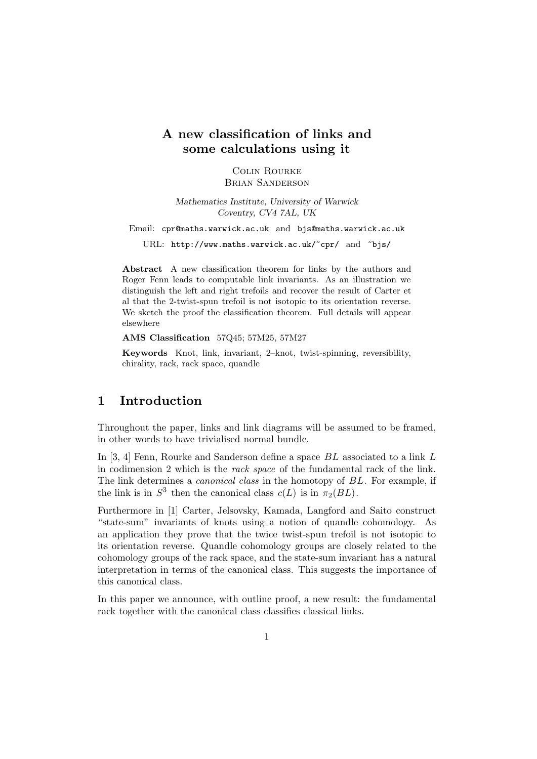# **A new classification of links and some calculations using it**

Colin Rourke Brian Sanderson

*Mathematics Institute, University of Warwick Coventry, CV4 7AL, UK*

Email: cpr@maths.warwick.ac.uk and bjs@maths.warwick.ac.uk

URL: http://www.maths.warwick.ac.uk/~cpr/ and ~bjs/

**Abstract** A new classification theorem for links by the authors and Roger Fenn leads to computable link invariants. As an illustration we distinguish the left and right trefoils and recover the result of Carter et al that the 2-twist-spun trefoil is not isotopic to its orientation reverse. We sketch the proof the classification theorem. Full details will appear elsewhere

**AMS Classification** 57Q45; 57M25, 57M27

**Keywords** Knot, link, invariant, 2–knot, twist-spinning, reversibility, chirality, rack, rack space, quandle

### **1 Introduction**

Throughout the paper, links and link diagrams will be assumed to be framed, in other words to have trivialised normal bundle.

In [3, 4] Fenn, Rourke and Sanderson define a space BL associated to a link L in codimension 2 which is the rack space of the fundamental rack of the link. The link determines a *canonical class* in the homotopy of BL. For example, if the link is in  $S^3$  then the canonical class  $c(L)$  is in  $\pi_2(BL)$ .

Furthermore in [1] Carter, Jelsovsky, Kamada, Langford and Saito construct "state-sum" invariants of knots using a notion of quandle cohomology. As an application they prove that the twice twist-spun trefoil is not isotopic to its orientation reverse. Quandle cohomology groups are closely related to the cohomology groups of the rack space, and the state-sum invariant has a natural interpretation in terms of the canonical class. This suggests the importance of this canonical class.

In this paper we announce, with outline proof, a new result: the fundamental rack together with the canonical class classifies classical links.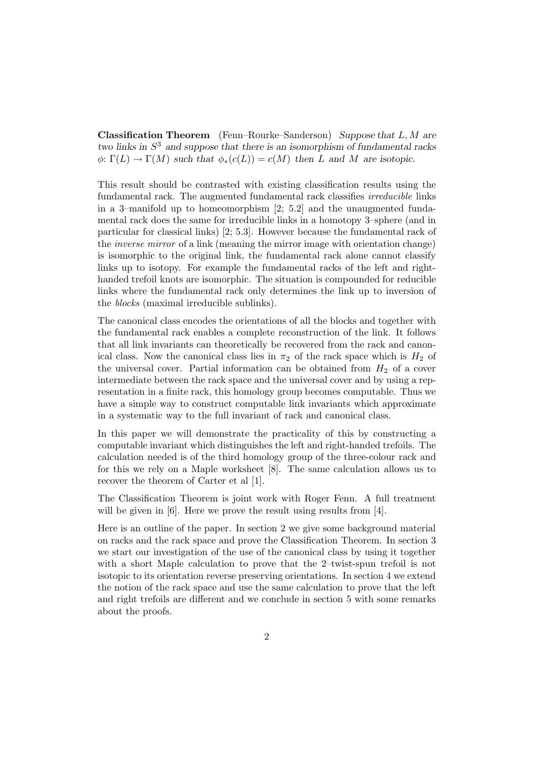**Classification Theorem** (Fenn–Rourke–Sanderson) *Suppose that* L,M *are two links in* S<sup>3</sup> *and suppose that there is an isomorphism of fundamental racks*  $\phi: \Gamma(L) \to \Gamma(M)$  *such that*  $\phi_*(c(L)) = c(M)$  *then* L *and* M *are isotopic.* 

This result should be contrasted with existing classification results using the fundamental rack. The augmented fundamental rack classifies *irreducible* links in a 3–manifold up to homeomorphism [2; 5.2] and the unaugmented fundamental rack does the same for irreducible links in a homotopy 3–sphere (and in particular for classical links) [2; 5.3]. However because the fundamental rack of the inverse mirror of a link (meaning the mirror image with orientation change) is isomorphic to the original link, the fundamental rack alone cannot classify links up to isotopy. For example the fundamental racks of the left and righthanded trefoil knots are isomorphic. The situation is compounded for reducible links where the fundamental rack only determines the link up to inversion of the blocks (maximal irreducible sublinks).

The canonical class encodes the orientations of all the blocks and together with the fundamental rack enables a complete reconstruction of the link. It follows that all link invariants can theoretically be recovered from the rack and canonical class. Now the canonical class lies in  $\pi_2$  of the rack space which is  $H_2$  of the universal cover. Partial information can be obtained from  $H_2$  of a cover intermediate between the rack space and the universal cover and by using a representation in a finite rack, this homology group becomes computable. Thus we have a simple way to construct computable link invariants which approximate in a systematic way to the full invariant of rack and canonical class.

In this paper we will demonstrate the practicality of this by constructing a computable invariant which distinguishes the left and right-handed trefoils. The calculation needed is of the third homology group of the three-colour rack and for this we rely on a Maple worksheet [8]. The same calculation allows us to recover the theorem of Carter et al [1].

The Classification Theorem is joint work with Roger Fenn. A full treatment will be given in [6]. Here we prove the result using results from [4].

Here is an outline of the paper. In section 2 we give some background material on racks and the rack space and prove the Classification Theorem. In section 3 we start our investigation of the use of the canonical class by using it together with a short Maple calculation to prove that the 2–twist-spun trefoil is not isotopic to its orientation reverse preserving orientations. In section 4 we extend the notion of the rack space and use the same calculation to prove that the left and right trefoils are different and we conclude in section 5 with some remarks about the proofs.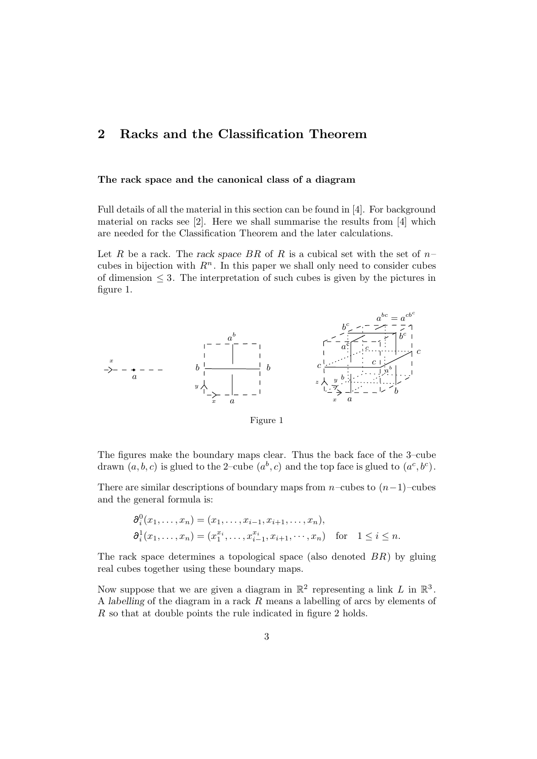## **2 Racks and the Classification Theorem**

### **The rack space and the canonical class of a diagram**

Full details of all the material in this section can be found in [4]. For background material on racks see [2]. Here we shall summarise the results from [4] which are needed for the Classification Theorem and the later calculations.

Let R be a rack. The *rack space* BR of R is a cubical set with the set of  $n$ cubes in bijection with  $R<sup>n</sup>$ . In this paper we shall only need to consider cubes of dimension  $\leq$  3. The interpretation of such cubes is given by the pictures in figure 1.



Figure 1

The figures make the boundary maps clear. Thus the back face of the 3–cube drawn  $(a, b, c)$  is glued to the 2-cube  $(a<sup>b</sup>, c)$  and the top face is glued to  $(a<sup>c</sup>, b<sup>c</sup>)$ .

There are similar descriptions of boundary maps from  $n$ –cubes to  $(n-1)$ –cubes and the general formula is:

$$
\begin{aligned} \n\partial_i^0(x_1,\ldots,x_n) &= (x_1,\ldots,x_{i-1},x_{i+1},\ldots,x_n),\\ \n\partial_i^1(x_1,\ldots,x_n) &= (x_1^{x_i},\ldots,x_{i-1}^{x_i},x_{i+1},\cdots,x_n) \quad \text{for} \quad 1 \le i \le n. \n\end{aligned}
$$

The rack space determines a topological space (also denoted  $BR$ ) by gluing real cubes together using these boundary maps.

Now suppose that we are given a diagram in  $\mathbb{R}^2$  representing a link L in  $\mathbb{R}^3$ . A *labelling* of the diagram in a rack R means a labelling of arcs by elements of R so that at double points the rule indicated in figure 2 holds.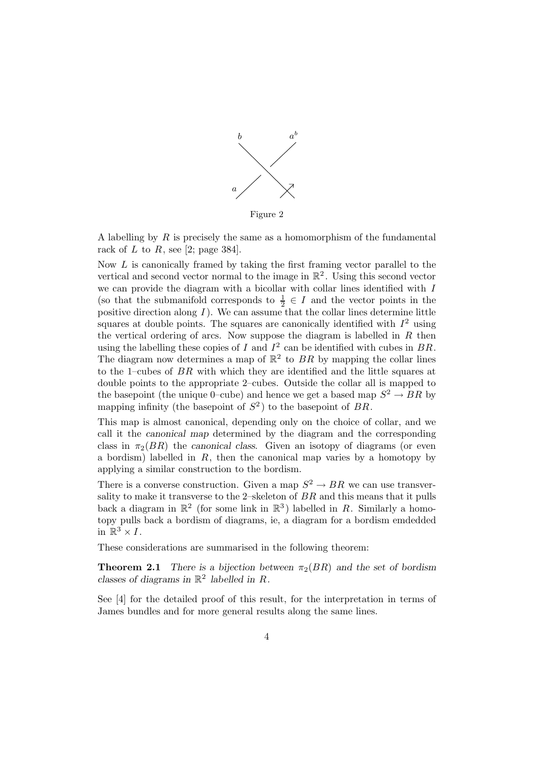

Figure 2

A labelling by R is precisely the same as a homomorphism of the fundamental rack of  $L$  to  $R$ , see [2; page 384].

Now  $L$  is canonically framed by taking the first framing vector parallel to the vertical and second vector normal to the image in  $\mathbb{R}^2$ . Using this second vector we can provide the diagram with a bicollar with collar lines identified with  $I$ (so that the submanifold corresponds to  $\frac{1}{2} \in I$  and the vector points in the positive direction along  $I$ ). We can assume that the collar lines determine little squares at double points. The squares are canonically identified with  $I^2$  using the vertical ordering of arcs. Now suppose the diagram is labelled in  $R$  then using the labelling these copies of  $I$  and  $I^2$  can be identified with cubes in  $BR$ . The diagram now determines a map of  $\mathbb{R}^2$  to BR by mapping the collar lines to the 1–cubes of  $BR$  with which they are identified and the little squares at double points to the appropriate 2–cubes. Outside the collar all is mapped to the basepoint (the unique 0–cube) and hence we get a based map  $S^2 \to BR$  by mapping infinity (the basepoint of  $S^2$ ) to the basepoint of BR.

This map is almost canonical, depending only on the choice of collar, and we call it the *canonical map* determined by the diagram and the corresponding class in  $\pi_2(BR)$  the *canonical class*. Given an isotopy of diagrams (or even a bordism) labelled in  $R$ , then the canonical map varies by a homotopy by applying a similar construction to the bordism.

There is a converse construction. Given a map  $S^2 \to BR$  we can use transversality to make it transverse to the 2–skeleton of  $BR$  and this means that it pulls back a diagram in  $\mathbb{R}^2$  (for some link in  $\mathbb{R}^3$ ) labelled in R. Similarly a homotopy pulls back a bordism of diagrams, ie, a diagram for a bordism emdedded in  $\mathbb{R}^3 \times I$ .

These considerations are summarised in the following theorem:

**Theorem 2.1** *There is a bijection between*  $\pi_2(BR)$  *and the set of bordism classes of diagrams in*  $\mathbb{R}^2$  *labelled in*  $R$ *.* 

See [4] for the detailed proof of this result, for the interpretation in terms of James bundles and for more general results along the same lines.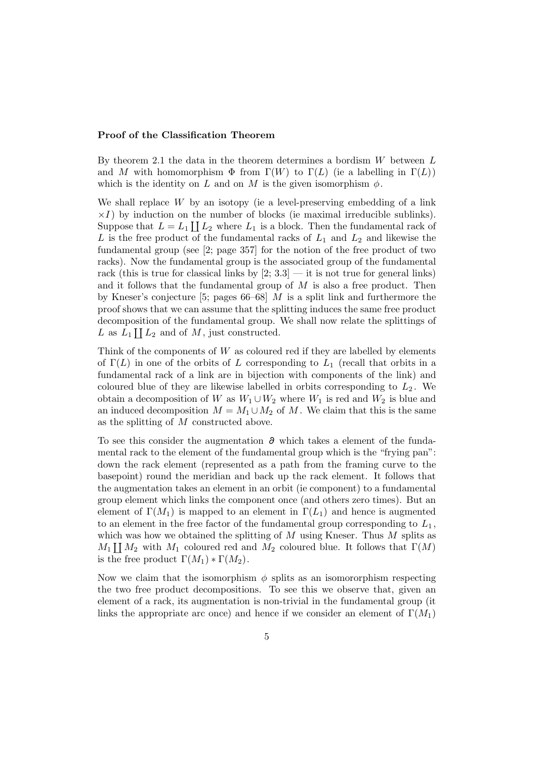#### **Proof of the Classification Theorem**

By theorem 2.1 the data in the theorem determines a bordism  $W$  between  $L$ and M with homomorphism  $\Phi$  from  $\Gamma(W)$  to  $\Gamma(L)$  (ie a labelling in  $\Gamma(L)$ ) which is the identity on L and on M is the given isomorphism  $\phi$ .

We shall replace  $W$  by an isotopy (ie a level-preserving embedding of a link  $\times I$ ) by induction on the number of blocks (ie maximal irreducible sublinks). Suppose that  $L = L_1 \coprod L_2$  where  $L_1$  is a block. Then the fundamental rack of L is the free product of the fundamental racks of  $L_1$  and  $L_2$  and likewise the fundamental group (see [2; page 357] for the notion of the free product of two racks). Now the fundamental group is the associated group of the fundamental rack (this is true for classical links by  $[2; 3.3]$  — it is not true for general links) and it follows that the fundamental group of  $M$  is also a free product. Then by Kneser's conjecture [5; pages  $66-68$ ] M is a split link and furthermore the proof shows that we can assume that the splitting induces the same free product decomposition of the fundamental group. We shall now relate the splittings of L as  $L_1 \coprod L_2$  and of M, just constructed.

Think of the components of  $W$  as coloured red if they are labelled by elements of  $\Gamma(L)$  in one of the orbits of L corresponding to  $L_1$  (recall that orbits in a fundamental rack of a link are in bijection with components of the link) and coloured blue of they are likewise labelled in orbits corresponding to  $L_2$ . We obtain a decomposition of W as  $W_1 \cup W_2$  where  $W_1$  is red and  $W_2$  is blue and an induced decomposition  $M = M_1 \cup M_2$  of M. We claim that this is the same as the splitting of M constructed above.

To see this consider the augmentation ∂ which takes a element of the fundamental rack to the element of the fundamental group which is the "frying pan": down the rack element (represented as a path from the framing curve to the basepoint) round the meridian and back up the rack element. It follows that the augmentation takes an element in an orbit (ie component) to a fundamental group element which links the component once (and others zero times). But an element of  $\Gamma(M_1)$  is mapped to an element in  $\Gamma(L_1)$  and hence is augmented to an element in the free factor of the fundamental group corresponding to  $L_1$ , which was how we obtained the splitting of  $M$  using Kneser. Thus  $M$  splits as  $M_1 \coprod M_2$  with  $M_1$  coloured red and  $M_2$  coloured blue. It follows that  $\Gamma(M)$ is the free product  $\Gamma(M_1) * \Gamma(M_2)$ .

Now we claim that the isomorphism  $\phi$  splits as an isomorphism respecting the two free product decompositions. To see this we observe that, given an element of a rack, its augmentation is non-trivial in the fundamental group (it links the appropriate arc once) and hence if we consider an element of  $\Gamma(M_1)$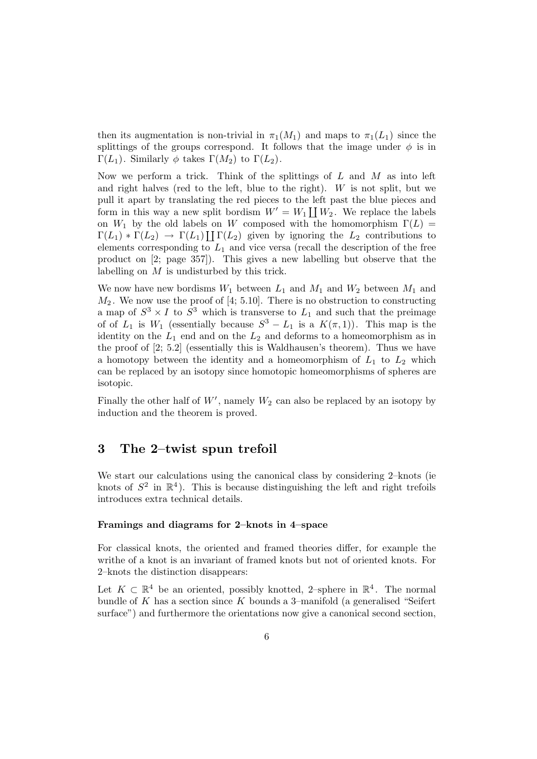then its augmentation is non-trivial in  $\pi_1(M_1)$  and maps to  $\pi_1(L_1)$  since the splittings of the groups correspond. It follows that the image under  $\phi$  is in Γ(L<sub>1</sub>). Similarly  $\phi$  takes Γ(M<sub>2</sub>) to Γ(L<sub>2</sub>).

Now we perform a trick. Think of the splittings of  $L$  and  $M$  as into left and right halves (red to the left, blue to the right).  $W$  is not split, but we pull it apart by translating the red pieces to the left past the blue pieces and form in this way a new split bordism  $W' = W_1 \coprod W_2$ . We replace the labels on  $W_1$  by the old labels on W composed with the homomorphism  $\Gamma(L)$  =  $\Gamma(L_1) * \Gamma(L_2) \rightarrow \Gamma(L_1) \coprod \Gamma(L_2)$  given by ignoring the  $L_2$  contributions to elements corresponding to  $L_1$  and vice versa (recall the description of the free product on [2; page 357]). This gives a new labelling but observe that the labelling on M is undisturbed by this trick.

We now have new bordisms  $W_1$  between  $L_1$  and  $M_1$  and  $W_2$  between  $M_1$  and  $M_2$ . We now use the proof of [4; 5.10]. There is no obstruction to constructing a map of  $S^3 \times I$  to  $\overline{S}^3$  which is transverse to  $L_1$  and such that the preimage of of  $L_1$  is  $W_1$  (essentially because  $S^3 - L_1$  is a  $K(\pi, 1)$ ). This map is the identity on the  $L_1$  end and on the  $L_2$  and deforms to a homeomorphism as in the proof of [2; 5.2] (essentially this is Waldhausen's theorem). Thus we have a homotopy between the identity and a homeomorphism of  $L_1$  to  $L_2$  which can be replaced by an isotopy since homotopic homeomorphisms of spheres are isotopic.

Finally the other half of  $W'$ , namely  $W_2$  can also be replaced by an isotopy by induction and the theorem is proved.

### **3 The 2–twist spun trefoil**

We start our calculations using the canonical class by considering 2–knots (ie knots of  $S^2$  in  $\mathbb{R}^4$ ). This is because distinguishing the left and right trefoils introduces extra technical details.

#### **Framings and diagrams for 2–knots in 4–space**

For classical knots, the oriented and framed theories differ, for example the writhe of a knot is an invariant of framed knots but not of oriented knots. For 2–knots the distinction disappears:

Let  $K \subset \mathbb{R}^4$  be an oriented, possibly knotted, 2–sphere in  $\mathbb{R}^4$ . The normal bundle of  $K$  has a section since  $K$  bounds a 3-manifold (a generalised "Seifert surface") and furthermore the orientations now give a canonical second section,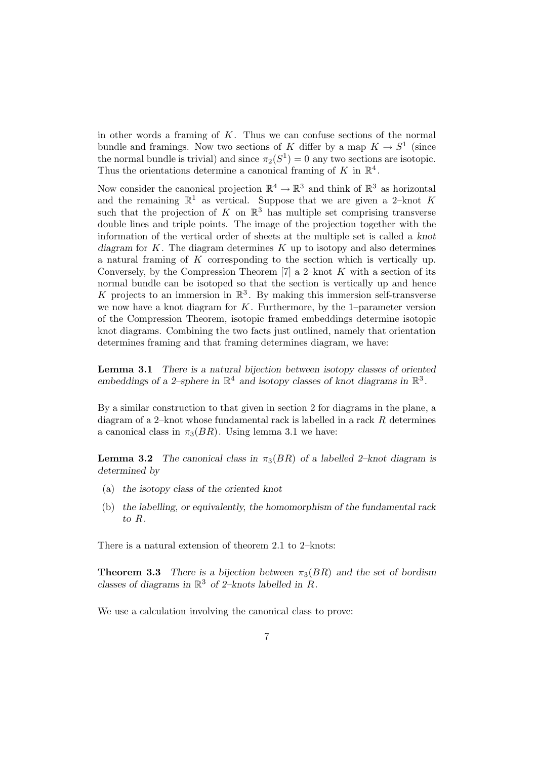in other words a framing of  $K$ . Thus we can confuse sections of the normal bundle and framings. Now two sections of K differ by a map  $K \to S^1$  (since the normal bundle is trivial) and since  $\pi_2(S^1) = 0$  any two sections are isotopic. Thus the orientations determine a canonical framing of K in  $\mathbb{R}^4$ .

Now consider the canonical projection  $\mathbb{R}^4 \to \mathbb{R}^3$  and think of  $\mathbb{R}^3$  as horizontal and the remaining  $\mathbb{R}^1$  as vertical. Suppose that we are given a 2-knot K such that the projection of K on  $\mathbb{R}^3$  has multiple set comprising transverse double lines and triple points. The image of the projection together with the information of the vertical order of sheets at the multiple set is called a *knot* diagram for  $K$ . The diagram determines  $K$  up to isotopy and also determines a natural framing of K corresponding to the section which is vertically up. Conversely, by the Compression Theorem [7] a 2–knot  $K$  with a section of its normal bundle can be isotoped so that the section is vertically up and hence K projects to an immersion in  $\mathbb{R}^3$ . By making this immersion self-transverse we now have a knot diagram for  $K$ . Furthermore, by the 1–parameter version of the Compression Theorem, isotopic framed embeddings determine isotopic knot diagrams. Combining the two facts just outlined, namely that orientation determines framing and that framing determines diagram, we have:

**Lemma 3.1** *There is a natural bijection between isotopy classes of oriented* embeddings of a 2–sphere in  $\mathbb{R}^4$  and isotopy classes of knot diagrams in  $\mathbb{R}^3$ .

By a similar construction to that given in section 2 for diagrams in the plane, a diagram of a 2–knot whose fundamental rack is labelled in a rack R determines a canonical class in  $\pi_3(BR)$ . Using lemma 3.1 we have:

**Lemma 3.2** *The canonical class in*  $\pi_3(BR)$  *of a labelled 2–knot diagram is determined by*

- (a) *the isotopy class of the oriented knot*
- (b) *the labelling, or equivalently, the homomorphism of the fundamental rack to* R*.*

There is a natural extension of theorem 2.1 to 2–knots:

**Theorem 3.3** *There is a bijection between*  $\pi_3(BR)$  *and the set of bordism classes of diagrams in*  $\mathbb{R}^3$  *of 2–knots labelled in*  $R$ *.* 

We use a calculation involving the canonical class to prove: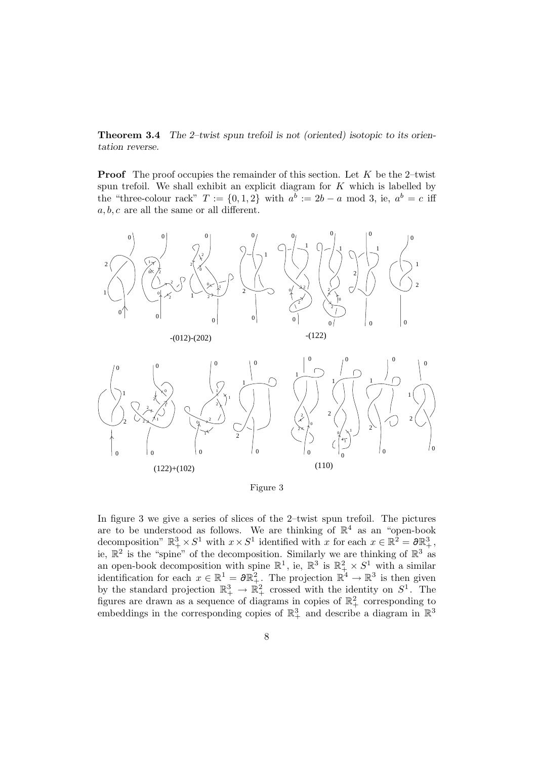**Theorem 3.4** *The 2–twist spun trefoil is not (oriented) isotopic to its orientation reverse.*

**Proof** The proof occupies the remainder of this section. Let K be the 2-twist spun trefoil. We shall exhibit an explicit diagram for  $K$  which is labelled by the "three-colour rack"  $T := \{0, 1, 2\}$  with  $a^b := 2b - a \mod 3$ , ie,  $a^b = c$  iff  $a, b, c$  are all the same or all different.



Figure 3

In figure 3 we give a series of slices of the 2–twist spun trefoil. The pictures are to be understood as follows. We are thinking of  $\mathbb{R}^4$  as an "open-book decomposition"  $\mathbb{R}^3_+ \times S^1$  with  $x \times S^1$  identified with x for each  $x \in \mathbb{R}^2 = \partial \mathbb{R}^3_+$ , ie,  $\mathbb{R}^2$  is the "spine" of the decomposition. Similarly we are thinking of  $\mathbb{R}^3$  as an open-book decomposition with spine  $\mathbb{R}^1$ , ie,  $\mathbb{R}^3$  is  $\mathbb{R}^2_+ \times S^1$  with a similar identification for each  $x \in \mathbb{R}^1 = \partial \mathbb{R}^2_+$ . The projection  $\mathbb{R}^4 \to \mathbb{R}^3$  is then given by the standard projection  $\mathbb{R}^3_+ \to \mathbb{R}^2_+$  crossed with the identity on  $S^1$ . The figures are drawn as a sequence of diagrams in copies of  $\mathbb{R}^2_+$  corresponding to embeddings in the corresponding copies of  $\mathbb{R}^3_+$  and describe a diagram in  $\mathbb{R}^3$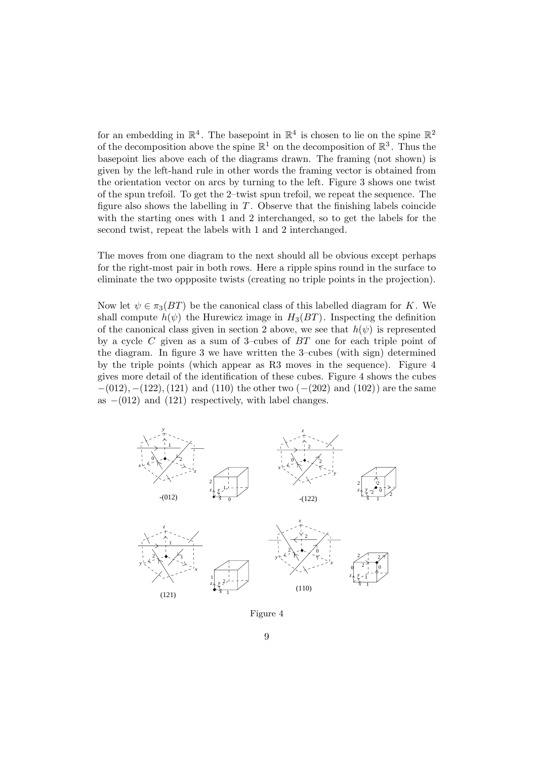for an embedding in  $\mathbb{R}^4$ . The basepoint in  $\mathbb{R}^4$  is chosen to lie on the spine  $\mathbb{R}^2$ of the decomposition above the spine  $\mathbb{R}^1$  on the decomposition of  $\mathbb{R}^3$ . Thus the basepoint lies above each of the diagrams drawn. The framing (not shown) is given by the left-hand rule in other words the framing vector is obtained from the orientation vector on arcs by turning to the left. Figure 3 shows one twist of the spun trefoil. To get the 2–twist spun trefoil, we repeat the sequence. The figure also shows the labelling in  $T$ . Observe that the finishing labels coincide with the starting ones with 1 and 2 interchanged, so to get the labels for the second twist, repeat the labels with 1 and 2 interchanged.

The moves from one diagram to the next should all be obvious except perhaps for the right-most pair in both rows. Here a ripple spins round in the surface to eliminate the two oppposite twists (creating no triple points in the projection).

Now let  $\psi \in \pi_3(BT)$  be the canonical class of this labelled diagram for K. We shall compute  $h(\psi)$  the Hurewicz image in  $H_3(BT)$ . Inspecting the definition of the canonical class given in section 2 above, we see that  $h(\psi)$  is represented by a cycle C given as a sum of 3–cubes of  $BT$  one for each triple point of the diagram. In figure 3 we have written the 3–cubes (with sign) determined by the triple points (which appear as R3 moves in the sequence). Figure 4 gives more detail of the identification of these cubes. Figure 4 shows the cubes  $-(012), -(122), (121)$  and (110) the other two  $(-(202))$  and  $(102))$  are the same as  $-(012)$  and  $(121)$  respectively, with label changes.



Figure 4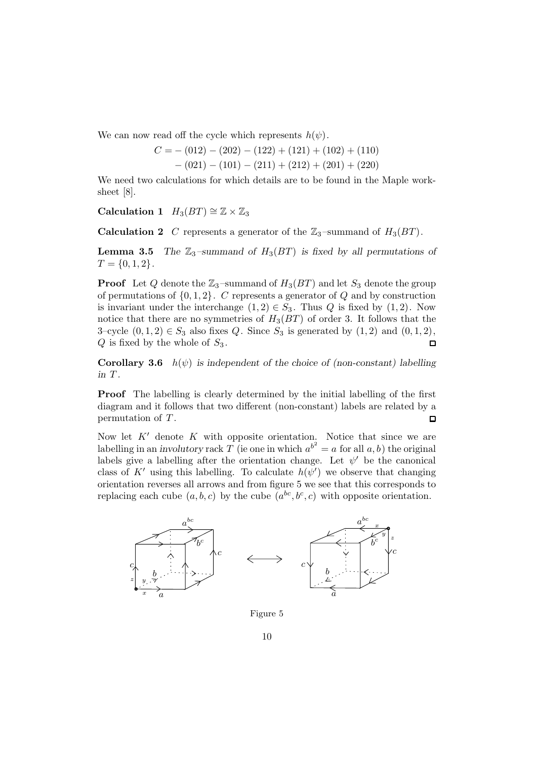We can now read off the cycle which represents  $h(\psi)$ .

$$
C = -(012) - (202) - (122) + (121) + (102) + (110)
$$
  
- (021) - (101) - (211) + (212) + (201) + (220)

We need two calculations for which details are to be found in the Maple worksheet [8].

**Calculation 1**  $H_3(BT) \cong \mathbb{Z} \times \mathbb{Z}_3$ 

**Calculation 2** C represents a generator of the  $\mathbb{Z}_3$ -summand of  $H_3(BT)$ .

**Lemma 3.5** *The*  $\mathbb{Z}_3$ -summand of  $H_3(BT)$  is fixed by all permutations of  $T = \{0, 1, 2\}.$ 

**Proof** Let Q denote the  $\mathbb{Z}_3$ -summand of  $H_3(BT)$  and let  $S_3$  denote the group of permutations of  $\{0, 1, 2\}$ . C represents a generator of Q and by construction is invariant under the interchange  $(1, 2) \in S_3$ . Thus Q is fixed by  $(1, 2)$ . Now notice that there are no symmetries of  $H_3(BT)$  of order 3. It follows that the 3–cycle  $(0, 1, 2) \in S_3$  also fixes Q. Since  $S_3$  is generated by  $(1, 2)$  and  $(0, 1, 2)$ ,  $Q$  is fixed by the whole of  $S_3$ .  $\Box$ 

**Corollary 3.6**  $h(\psi)$  *is independent of the choice of (non-constant) labelling in* T *.*

**Proof** The labelling is clearly determined by the initial labelling of the first diagram and it follows that two different (non-constant) labels are related by a permutation of T .  $\Box$ 

Now let  $K'$  denote K with opposite orientation. Notice that since we are labelling in an *involutory* rack  $T$  (ie one in which  $a^{b^2} = a$  for all  $a, b$ ) the original labels give a labelling after the orientation change. Let  $\psi'$  be the canonical class of K' using this labelling. To calculate  $h(\psi')$  we observe that changing orientation reverses all arrows and from figure 5 we see that this corresponds to replacing each cube  $(a, b, c)$  by the cube  $(a^{bc}, b^c, c)$  with opposite orientation.



Figure 5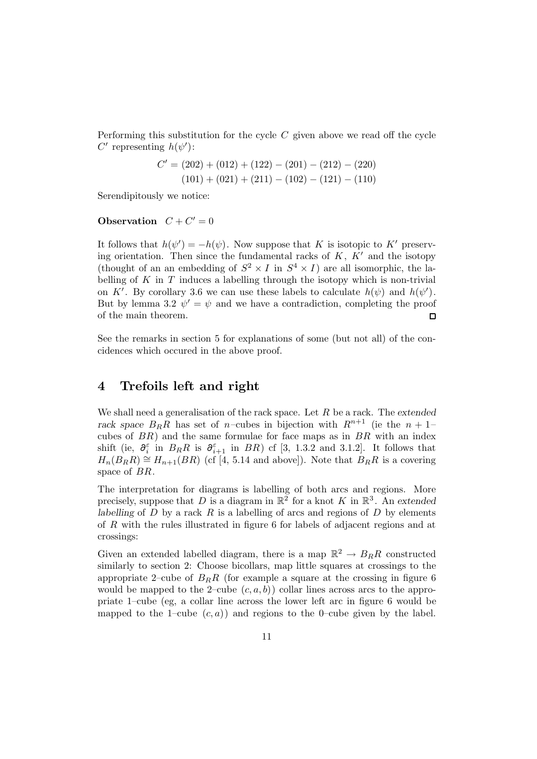Performing this substitution for the cycle  $C$  given above we read off the cycle C' representing  $h(\psi')$ :

$$
C' = (202) + (012) + (122) - (201) - (212) - (220)
$$
  

$$
(101) + (021) + (211) - (102) - (121) - (110)
$$

Serendipitously we notice:

### **Observation**  $C + C' = 0$

It follows that  $h(\psi') = -h(\psi)$ . Now suppose that K is isotopic to K' preserving orientation. Then since the fundamental racks of  $K, K'$  and the isotopy (thought of an an embedding of  $S^2 \times I$  in  $S^4 \times I$ ) are all isomorphic, the labelling of  $K$  in  $T$  induces a labelling through the isotopy which is non-trivial on K'. By corollary 3.6 we can use these labels to calculate  $h(\psi)$  and  $h(\psi')$ . But by lemma 3.2  $\psi' = \psi$  and we have a contradiction, completing the proof of the main theorem.  $\Box$ 

See the remarks in section 5 for explanations of some (but not all) of the concidences which occured in the above proof.

### **4 Trefoils left and right**

We shall need a generalisation of the rack space. Let R be a rack. The *extended* rack space  $B_R R$  has set of *n*–cubes in bijection with  $R^{n+1}$  (ie the  $n+1$ cubes of  $BR$ ) and the same formulae for face maps as in  $BR$  with an index shift (ie,  $\partial_i^{\varepsilon}$  in  $B_R R$  is  $\partial_{i+1}^{\varepsilon}$  in  $BR$ ) cf [3, 1.3.2 and 3.1.2]. It follows that  $H_n(B_RR) \cong H_{n+1}(BR)$  (cf [4, 5.14 and above]). Note that  $B_RR$  is a covering space of BR.

The interpretation for diagrams is labelling of both arcs and regions. More precisely, suppose that D is a diagram in  $\mathbb{R}^2$  for a knot K in  $\mathbb{R}^3$ . An extended *labelling* of  $D$  by a rack  $R$  is a labelling of arcs and regions of  $D$  by elements of R with the rules illustrated in figure 6 for labels of adjacent regions and at crossings:

Given an extended labelled diagram, there is a map  $\mathbb{R}^2 \to B_R R$  constructed similarly to section 2: Choose bicollars, map little squares at crossings to the appropriate 2–cube of  $B_R R$  (for example a square at the crossing in figure 6) would be mapped to the 2-cube  $(c, a, b)$  collar lines across arcs to the appropriate 1–cube (eg, a collar line across the lower left arc in figure 6 would be mapped to the 1–cube  $(c, a)$  and regions to the 0–cube given by the label.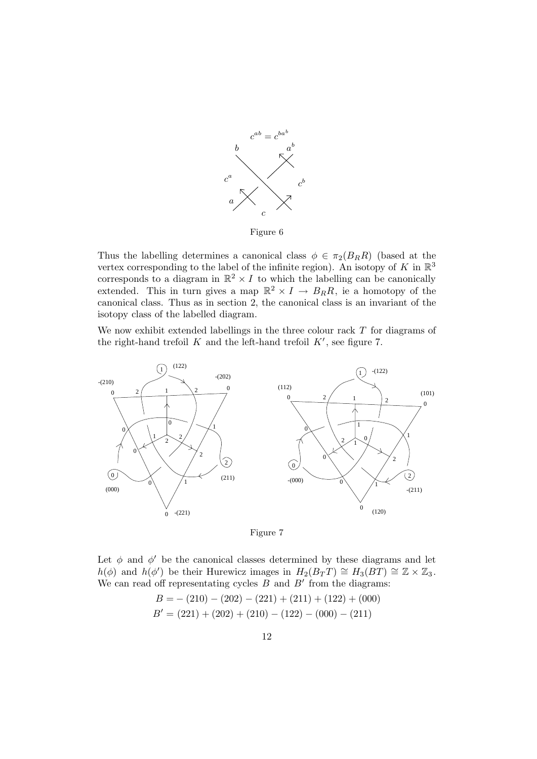

Figure 6

Thus the labelling determines a canonical class  $\phi \in \pi_2(B_R R)$  (based at the vertex corresponding to the label of the infinite region). An isotopy of  $K$  in  $\mathbb{R}^3$ corresponds to a diagram in  $\mathbb{R}^2 \times I$  to which the labelling can be canonically extended. This in turn gives a map  $\mathbb{R}^2 \times I \to B_R R$ , ie a homotopy of the canonical class. Thus as in section 2, the canonical class is an invariant of the isotopy class of the labelled diagram.

We now exhibit extended labellings in the three colour rack  $T$  for diagrams of the right-hand trefoil K and the left-hand trefoil  $K'$ , see figure 7.





Let  $\phi$  and  $\phi'$  be the canonical classes determined by these diagrams and let  $h(\phi)$  and  $h(\phi')$  be their Hurewicz images in  $H_2(B_TT) \cong H_3(BT) \cong \mathbb{Z} \times \mathbb{Z}_3$ . We can read off representating cycles  $B$  and  $B'$  from the diagrams:

$$
B = -(210) - (202) - (221) + (211) + (122) + (000)
$$
  
\n
$$
B' = (221) + (202) + (210) - (122) - (000) - (211)
$$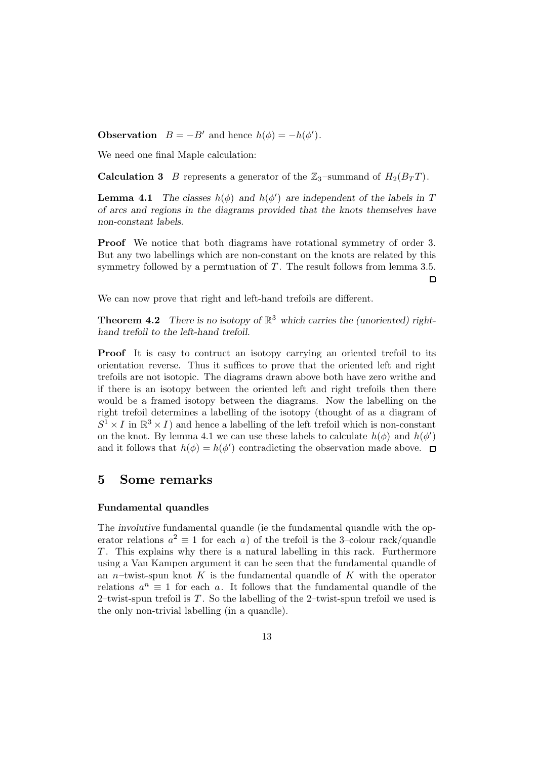**Observation**  $B = -B'$  and hence  $h(\phi) = -h(\phi')$ .

We need one final Maple calculation:

**Calculation 3** B represents a generator of the  $\mathbb{Z}_3$ -summand of  $H_2(B_T T)$ .

**Lemma 4.1** *The classes*  $h(\phi)$  *and*  $h(\phi')$  *are independent of the labels in* T *of arcs and regions in the diagrams provided that the knots themselves have non-constant labels.*

**Proof** We notice that both diagrams have rotational symmetry of order 3. But any two labellings which are non-constant on the knots are related by this symmetry followed by a permtuation of  $T$ . The result follows from lemma 3.5.  $\Box$ 

We can now prove that right and left-hand trefoils are different.

**Theorem 4.2** *There is no isotopy of*  $\mathbb{R}^3$  *which carries the (unoriented) righthand trefoil to the left-hand trefoil.*

**Proof** It is easy to contruct an isotopy carrying an oriented trefoil to its orientation reverse. Thus it suffices to prove that the oriented left and right trefoils are not isotopic. The diagrams drawn above both have zero writhe and if there is an isotopy between the oriented left and right trefoils then there would be a framed isotopy between the diagrams. Now the labelling on the right trefoil determines a labelling of the isotopy (thought of as a diagram of  $S^1 \times I$  in  $\mathbb{R}^3 \times I$  and hence a labelling of the left trefoil which is non-constant on the knot. By lemma 4.1 we can use these labels to calculate  $h(\phi)$  and  $h(\phi)$ and it follows that  $h(\phi) = h(\phi')$  contradicting the observation made above.

### **5 Some remarks**

### **Fundamental quandles**

The *involutive* fundamental quandle (ie the fundamental quandle with the operator relations  $a^2 \equiv 1$  for each a) of the trefoil is the 3-colour rack/quandle  $T$ . This explains why there is a natural labelling in this rack. Furthermore using a Van Kampen argument it can be seen that the fundamental quandle of an *n*–twist-spun knot K is the fundamental quandle of K with the operator relations  $a^n \equiv 1$  for each a. It follows that the fundamental quandle of the 2–twist-spun trefoil is  $T$ . So the labelling of the 2–twist-spun trefoil we used is the only non-trivial labelling (in a quandle).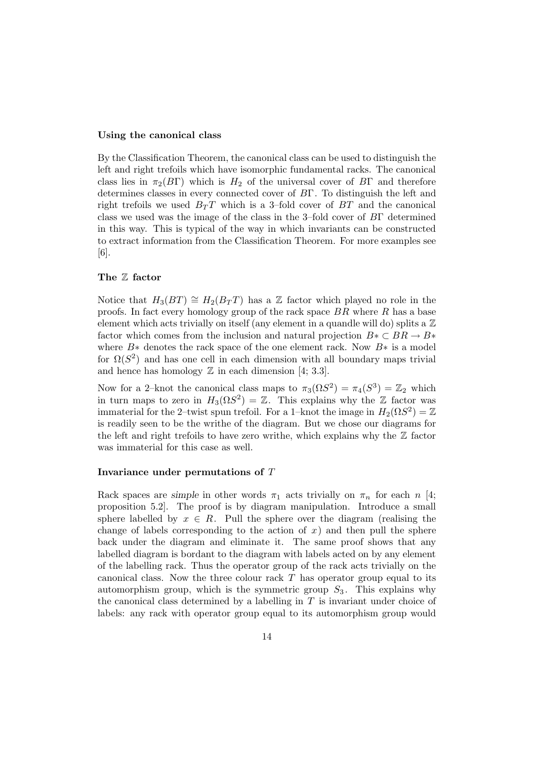#### **Using the canonical class**

By the Classification Theorem, the canonical class can be used to distinguish the left and right trefoils which have isomorphic fundamental racks. The canonical class lies in  $\pi_2(B\Gamma)$  which is  $H_2$  of the universal cover of  $B\Gamma$  and therefore determines classes in every connected cover of BΓ. To distinguish the left and right trefoils we used  $B_T T$  which is a 3-fold cover of  $BT$  and the canonical class we used was the image of the class in the 3–fold cover of BΓ determined in this way. This is typical of the way in which invariants can be constructed to extract information from the Classification Theorem. For more examples see [6].

#### **The** Z **factor**

Notice that  $H_3(BT) \cong H_2(B_T)$  has a Z factor which played no role in the proofs. In fact every homology group of the rack space  $BR$  where  $R$  has a base element which acts trivially on itself (any element in a quandle will do) splits a  $\mathbb Z$ factor which comes from the inclusion and natural projection  $B \times \subset BR \to B \times$ where  $B*$  denotes the rack space of the one element rack. Now  $B*$  is a model for  $\Omega(S^2)$  and has one cell in each dimension with all boundary maps trivial and hence has homology  $\mathbb Z$  in each dimension [4; 3.3].

Now for a 2–knot the canonical class maps to  $\pi_3(\Omega S^2) = \pi_4(S^3) = \mathbb{Z}_2$  which in turn maps to zero in  $H_3(\Omega S^2) = \mathbb{Z}$ . This explains why the  $\mathbb{Z}$  factor was immaterial for the 2–twist spun trefoil. For a 1–knot the image in  $H_2(\Omega S^2) = \mathbb{Z}$ is readily seen to be the writhe of the diagram. But we chose our diagrams for the left and right trefoils to have zero writhe, which explains why the  $\mathbb Z$  factor was immaterial for this case as well.

#### **Invariance under permutations of** T

Rack spaces are *simple* in other words  $\pi_1$  acts trivially on  $\pi_n$  for each n [4; proposition 5.2]. The proof is by diagram manipulation. Introduce a small sphere labelled by  $x \in R$ . Pull the sphere over the diagram (realising the change of labels corresponding to the action of  $x$ ) and then pull the sphere back under the diagram and eliminate it. The same proof shows that any labelled diagram is bordant to the diagram with labels acted on by any element of the labelling rack. Thus the operator group of the rack acts trivially on the canonical class. Now the three colour rack  $T$  has operator group equal to its automorphism group, which is the symmetric group  $S_3$ . This explains why the canonical class determined by a labelling in  $T$  is invariant under choice of labels: any rack with operator group equal to its automorphism group would